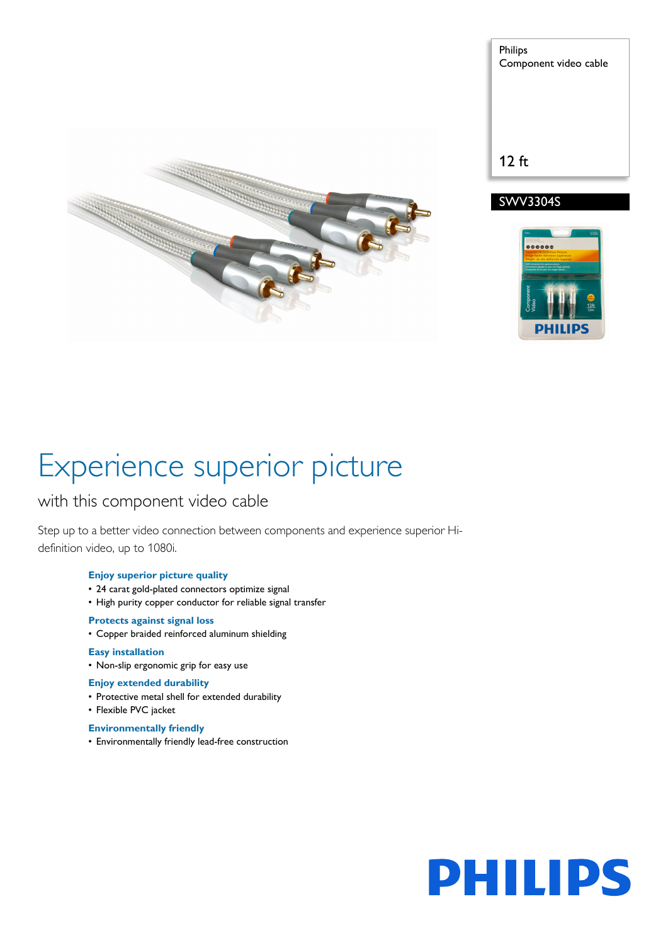

Philips Component video cable 12 ft





# Experience superior picture

## with this component video cable

Step up to a better video connection between components and experience superior Hidefinition video, up to 1080i.

## **Enjoy superior picture quality**

- 24 carat gold-plated connectors optimize signal
- High purity copper conductor for reliable signal transfer

## **Protects against signal loss**

• Copper braided reinforced aluminum shielding

## **Easy installation**

• Non-slip ergonomic grip for easy use

## **Enjoy extended durability**

- Protective metal shell for extended durability
- Flexible PVC jacket
- **Environmentally friendly**
- Environmentally friendly lead-free construction